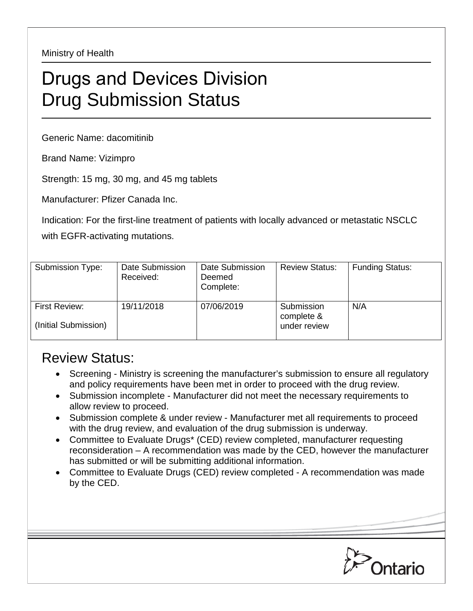Ministry of Health

## Drugs and Devices Division Drug Submission Status

Generic Name: dacomitinib

Brand Name: Vizimpro

Strength: 15 mg, 30 mg, and 45 mg tablets

Manufacturer: Pfizer Canada Inc.

Indication: For the first-line treatment of patients with locally advanced or metastatic NSCLC with EGFR-activating mutations.

| Submission Type:                      | Date Submission<br>Received: | Date Submission<br>Deemed<br>Complete: | <b>Review Status:</b>                    | <b>Funding Status:</b> |
|---------------------------------------|------------------------------|----------------------------------------|------------------------------------------|------------------------|
| First Review:<br>(Initial Submission) | 19/11/2018                   | 07/06/2019                             | Submission<br>complete &<br>under review | N/A                    |

## Review Status:

- Screening Ministry is screening the manufacturer's submission to ensure all regulatory and policy requirements have been met in order to proceed with the drug review.
- Submission incomplete Manufacturer did not meet the necessary requirements to allow review to proceed.
- Submission complete & under review Manufacturer met all requirements to proceed with the drug review, and evaluation of the drug submission is underway.
- Committee to Evaluate Drugs\* (CED) review completed, manufacturer requesting reconsideration – A recommendation was made by the CED, however the manufacturer has submitted or will be submitting additional information.
- Committee to Evaluate Drugs (CED) review completed A recommendation was made by the CED.